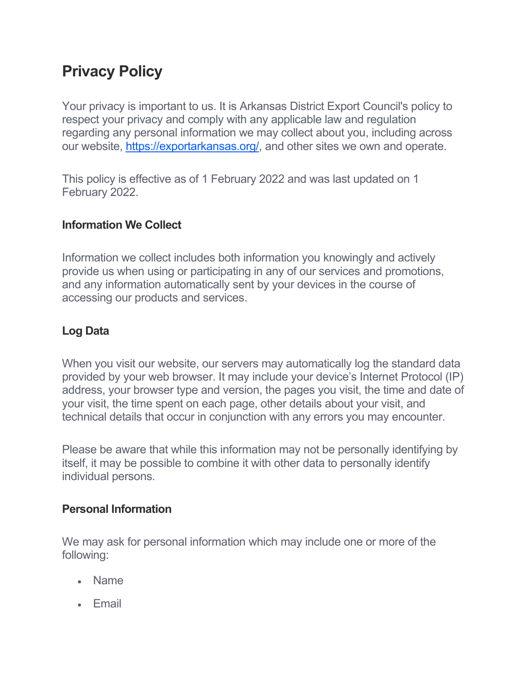# **Privacy Policy**

Your privacy is important to us. It is Arkansas District Export Council's policy to respect your privacy and comply with any applicable law and regulation regarding any personal information we may collect about you, including across our website, [https://exportarkansas.org/,](https://exportarkansas.org/) and other sites we own and operate.

This policy is effective as of 1 February 2022 and was last updated on 1 February 2022.

## **Information We Collect**

Information we collect includes both information you knowingly and actively provide us when using or participating in any of our services and promotions, and any information automatically sent by your devices in the course of accessing our products and services.

# **Log Data**

When you visit our website, our servers may automatically log the standard data provided by your web browser. It may include your device's Internet Protocol (IP) address, your browser type and version, the pages you visit, the time and date of your visit, the time spent on each page, other details about your visit, and technical details that occur in conjunction with any errors you may encounter.

Please be aware that while this information may not be personally identifying by itself, it may be possible to combine it with other data to personally identify individual persons.

### **Personal Information**

We may ask for personal information which may include one or more of the following:

- Name
- Email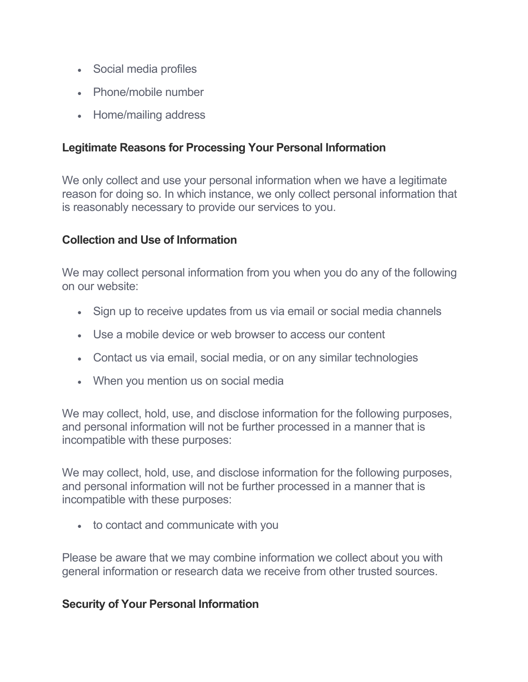- Social media profiles
- Phone/mobile number
- Home/mailing address

#### **Legitimate Reasons for Processing Your Personal Information**

We only collect and use your personal information when we have a legitimate reason for doing so. In which instance, we only collect personal information that is reasonably necessary to provide our services to you.

#### **Collection and Use of Information**

We may collect personal information from you when you do any of the following on our website:

- Sign up to receive updates from us via email or social media channels
- Use a mobile device or web browser to access our content
- Contact us via email, social media, or on any similar technologies
- When you mention us on social media

We may collect, hold, use, and disclose information for the following purposes, and personal information will not be further processed in a manner that is incompatible with these purposes:

We may collect, hold, use, and disclose information for the following purposes, and personal information will not be further processed in a manner that is incompatible with these purposes:

• to contact and communicate with you

Please be aware that we may combine information we collect about you with general information or research data we receive from other trusted sources.

#### **Security of Your Personal Information**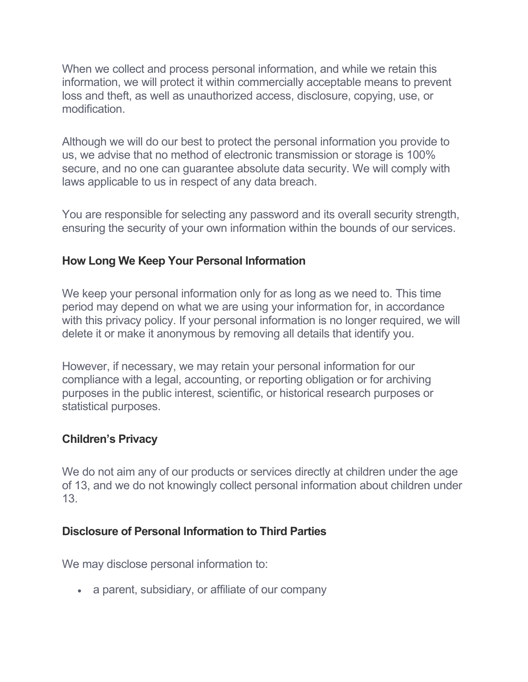When we collect and process personal information, and while we retain this information, we will protect it within commercially acceptable means to prevent loss and theft, as well as unauthorized access, disclosure, copying, use, or modification.

Although we will do our best to protect the personal information you provide to us, we advise that no method of electronic transmission or storage is 100% secure, and no one can guarantee absolute data security. We will comply with laws applicable to us in respect of any data breach.

You are responsible for selecting any password and its overall security strength, ensuring the security of your own information within the bounds of our services.

#### **How Long We Keep Your Personal Information**

We keep your personal information only for as long as we need to. This time period may depend on what we are using your information for, in accordance with this privacy policy. If your personal information is no longer required, we will delete it or make it anonymous by removing all details that identify you.

However, if necessary, we may retain your personal information for our compliance with a legal, accounting, or reporting obligation or for archiving purposes in the public interest, scientific, or historical research purposes or statistical purposes.

### **Children's Privacy**

We do not aim any of our products or services directly at children under the age of 13, and we do not knowingly collect personal information about children under 13.

### **Disclosure of Personal Information to Third Parties**

We may disclose personal information to:

• a parent, subsidiary, or affiliate of our company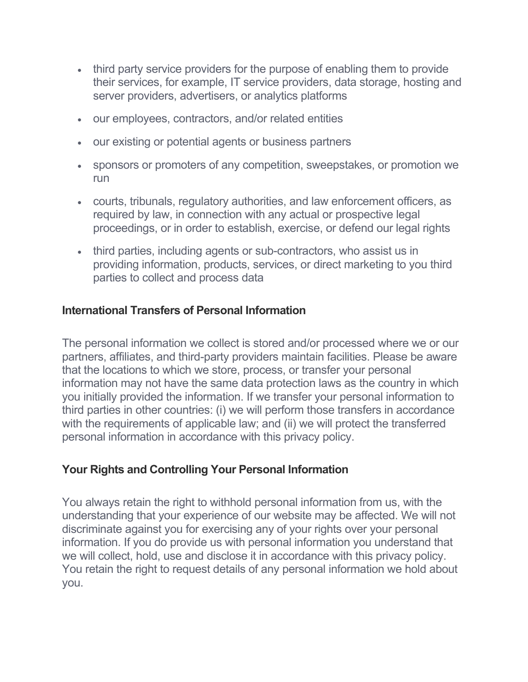- third party service providers for the purpose of enabling them to provide their services, for example, IT service providers, data storage, hosting and server providers, advertisers, or analytics platforms
- our employees, contractors, and/or related entities
- our existing or potential agents or business partners
- sponsors or promoters of any competition, sweepstakes, or promotion we run
- courts, tribunals, regulatory authorities, and law enforcement officers, as required by law, in connection with any actual or prospective legal proceedings, or in order to establish, exercise, or defend our legal rights
- third parties, including agents or sub-contractors, who assist us in providing information, products, services, or direct marketing to you third parties to collect and process data

### **International Transfers of Personal Information**

The personal information we collect is stored and/or processed where we or our partners, affiliates, and third-party providers maintain facilities. Please be aware that the locations to which we store, process, or transfer your personal information may not have the same data protection laws as the country in which you initially provided the information. If we transfer your personal information to third parties in other countries: (i) we will perform those transfers in accordance with the requirements of applicable law; and (ii) we will protect the transferred personal information in accordance with this privacy policy.

### **Your Rights and Controlling Your Personal Information**

You always retain the right to withhold personal information from us, with the understanding that your experience of our website may be affected. We will not discriminate against you for exercising any of your rights over your personal information. If you do provide us with personal information you understand that we will collect, hold, use and disclose it in accordance with this privacy policy. You retain the right to request details of any personal information we hold about you.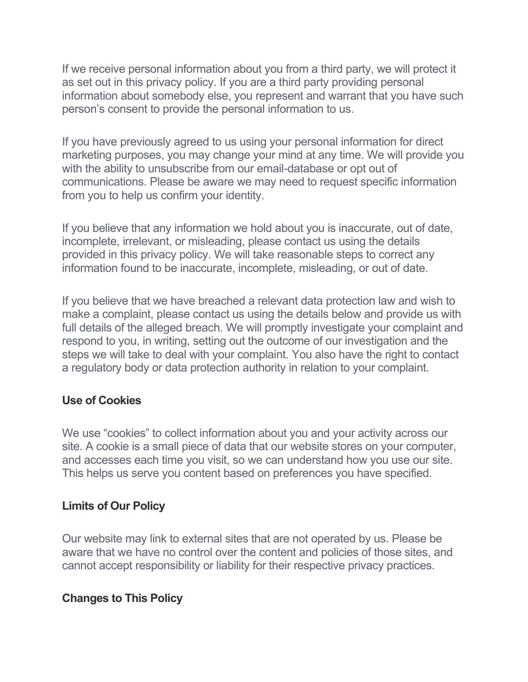If we receive personal information about you from a third party, we will protect it as set out in this privacy policy. If you are a third party providing personal information about somebody else, you represent and warrant that you have such person's consent to provide the personal information to us.

If you have previously agreed to us using your personal information for direct marketing purposes, you may change your mind at any time. We will provide you with the ability to unsubscribe from our email-database or opt out of communications. Please be aware we may need to request specific information from you to help us confirm your identity.

If you believe that any information we hold about you is inaccurate, out of date, incomplete, irrelevant, or misleading, please contact us using the details provided in this privacy policy. We will take reasonable steps to correct any information found to be inaccurate, incomplete, misleading, or out of date.

If you believe that we have breached a relevant data protection law and wish to make a complaint, please contact us using the details below and provide us with full details of the alleged breach. We will promptly investigate your complaint and respond to you, in writing, setting out the outcome of our investigation and the steps we will take to deal with your complaint. You also have the right to contact a regulatory body or data protection authority in relation to your complaint.

### **Use of Cookies**

We use "cookies" to collect information about you and your activity across our site. A cookie is a small piece of data that our website stores on your computer, and accesses each time you visit, so we can understand how you use our site. This helps us serve you content based on preferences you have specified.

### **Limits of Our Policy**

Our website may link to external sites that are not operated by us. Please be aware that we have no control over the content and policies of those sites, and cannot accept responsibility or liability for their respective privacy practices.

#### **Changes to This Policy**